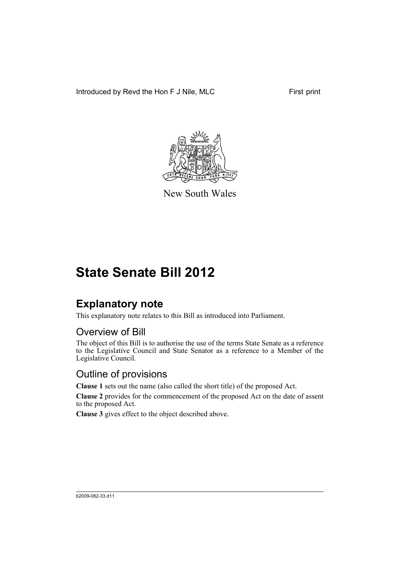Introduced by Revd the Hon F J Nile, MLC First print



New South Wales

# **State Senate Bill 2012**

### **Explanatory note**

This explanatory note relates to this Bill as introduced into Parliament.

#### Overview of Bill

The object of this Bill is to authorise the use of the terms State Senate as a reference to the Legislative Council and State Senator as a reference to a Member of the Legislative Council.

#### Outline of provisions

**Clause 1** sets out the name (also called the short title) of the proposed Act.

**Clause 2** provides for the commencement of the proposed Act on the date of assent to the proposed Act.

**Clause 3** gives effect to the object described above.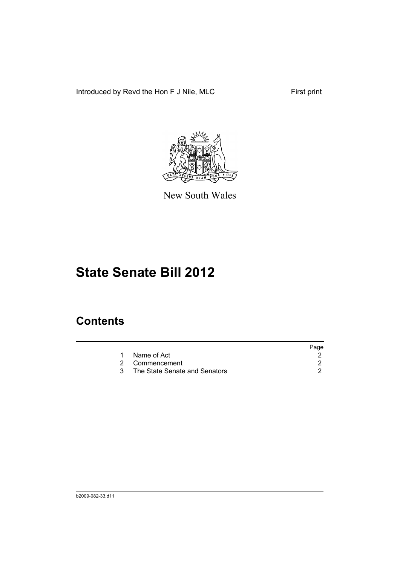Introduced by Revd the Hon F J Nile, MLC First print



New South Wales

## **State Senate Bill 2012**

### **Contents**

|                                 | Page |
|---------------------------------|------|
| 1 Name of Act                   |      |
| 2 Commencement                  |      |
| 3 The State Senate and Senators |      |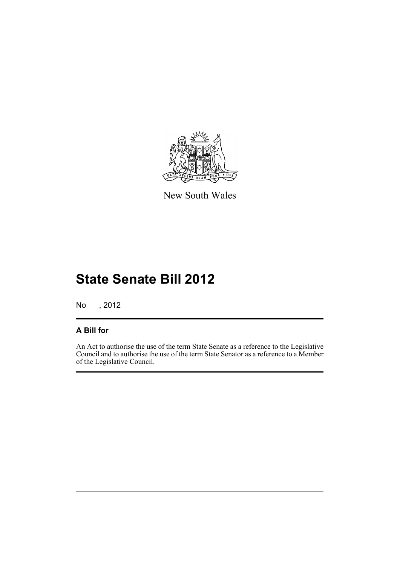

New South Wales

# **State Senate Bill 2012**

No , 2012

#### **A Bill for**

An Act to authorise the use of the term State Senate as a reference to the Legislative Council and to authorise the use of the term State Senator as a reference to a Member of the Legislative Council.